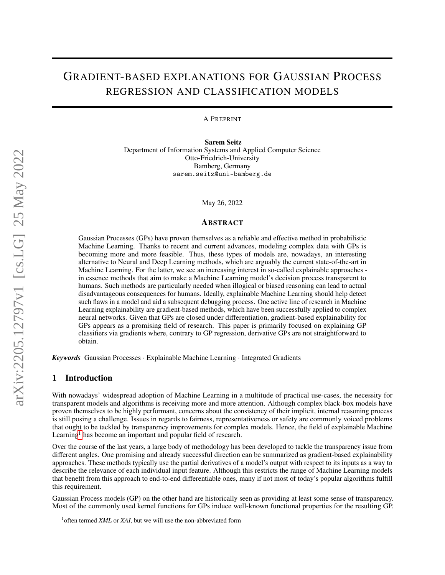# GRADIENT-BASED EXPLANATIONS FOR GAUSSIAN PROCESS REGRESSION AND CLASSIFICATION MODELS

A PREPRINT

Sarem Seitz Department of Information Systems and Applied Computer Science Otto-Friedrich-University Bamberg, Germany sarem.seitz@uni-bamberg.de

May 26, 2022

#### ABSTRACT

Gaussian Processes (GPs) have proven themselves as a reliable and effective method in probabilistic Machine Learning. Thanks to recent and current advances, modeling complex data with GPs is becoming more and more feasible. Thus, these types of models are, nowadays, an interesting alternative to Neural and Deep Learning methods, which are arguably the current state-of-the-art in Machine Learning. For the latter, we see an increasing interest in so-called explainable approaches in essence methods that aim to make a Machine Learning model's decision process transparent to humans. Such methods are particularly needed when illogical or biased reasoning can lead to actual disadvantageous consequences for humans. Ideally, explainable Machine Learning should help detect such flaws in a model and aid a subsequent debugging process. One active line of research in Machine Learning explainability are gradient-based methods, which have been successfully applied to complex neural networks. Given that GPs are closed under differentiation, gradient-based explainability for GPs appears as a promising field of research. This paper is primarily focused on explaining GP classifiers via gradients where, contrary to GP regression, derivative GPs are not straightforward to obtain.

*Keywords* Gaussian Processes · Explainable Machine Learning · Integrated Gradients

# 1 Introduction

With nowadays' widespread adoption of Machine Learning in a multitude of practical use-cases, the necessity for transparent models and algorithms is receiving more and more attention. Although complex black-box models have proven themselves to be highly performant, concerns about the consistency of their implicit, internal reasoning process is still posing a challenge. Issues in regards to fairness, representativeness or safety are commonly voiced problems that ought to be tackled by transparency improvements for complex models. Hence, the field of explainable Machine Learning<sup>[1](#page-0-0)</sup> has become an important and popular field of research.

Over the course of the last years, a large body of methodology has been developed to tackle the transparency issue from different angles. One promising and already successful direction can be summarized as gradient-based explainability approaches. These methods typically use the partial derivatives of a model's output with respect to its inputs as a way to describe the relevance of each individual input feature. Although this restricts the range of Machine Learning models that benefit from this approach to end-to-end differentiable ones, many if not most of today's popular algorithms fulfill this requirement.

Gaussian Process models (GP) on the other hand are historically seen as providing at least some sense of transparency. Most of the commonly used kernel functions for GPs induce well-known functional properties for the resulting GP.

<span id="page-0-0"></span><sup>&</sup>lt;sup>1</sup> often termed *XML* or *XAI*, but we will use the non-abbreviated form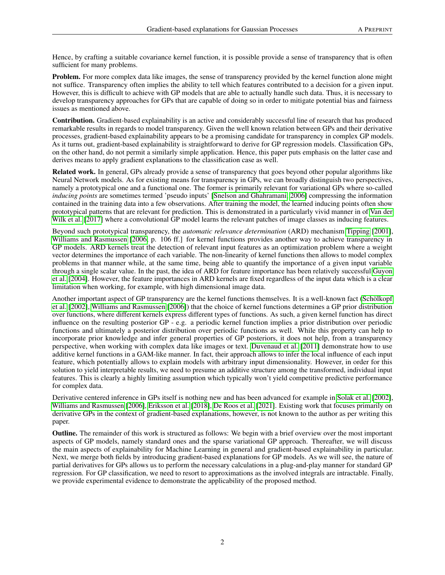Hence, by crafting a suitable covariance kernel function, it is possible provide a sense of transparency that is often sufficient for many problems.

Problem. For more complex data like images, the sense of transparency provided by the kernel function alone might not suffice. Transparency often implies the ability to tell which features contributed to a decision for a given input. However, this is difficult to achieve with GP models that are able to actually handle such data. Thus, it is necessary to develop transparency approaches for GPs that are capable of doing so in order to mitigate potential bias and fairness issues as mentioned above.

Contribution. Gradient-based explainability is an active and considerably successful line of research that has produced remarkable results in regards to model transparency. Given the well known relation between GPs and their derivative processes, gradient-based explainability appears to be a promising candidate for transparency in complex GP models. As it turns out, gradient-based explainability is straightforward to derive for GP regression models. Classification GPs, on the other hand, do not permit a similarly simple application. Hence, this paper puts emphasis on the latter case and derives means to apply gradient explanations to the classification case as well.

Related work. In general, GPs already provide a sense of transparency that goes beyond other popular algorithms like Neural Network models. As for existing means for transparency in GPs, we can broadly distinguish two perspectives, namely a prototypical one and a functional one. The former is primarily relevant for variational GPs where so-called *inducing points* are sometimes termed 'pseudo inputs' [\[Snelson and Ghahramani, 2006\]](#page-11-0) compressing the information contained in the training data into a few observations. After training the model, the learned inducing points often show prototypical patterns that are relevant for prediction. This is demonstrated in a particularly vivid manner in of [Van der](#page-11-1) [Wilk et al.](#page-11-1) [\[2017\]](#page-11-1) where a convolutional GP model learns the relevant patches of image classes as inducing features.

Beyond such prototypical transparency, the *automatic relevance determination* (ARD) mechanism [Tipping](#page-11-2) [\[2001\]](#page-11-2), [Williams and Rasmussen](#page-11-3) [\[2006,](#page-11-3) p. 106 ff.] for kernel functions provides another way to achieve transparency in GP models. ARD kernels treat the detection of relevant input features as an optimization problem where a weight vector determines the importance of each variable. The non-linearity of kernel functions then allows to model complex problems in that manner while, at the same time, being able to quantify the importance of a given input variable through a single scalar value. In the past, the idea of ARD for feature importance has been relatively successful [Guyon](#page-11-4) [et al.](#page-11-4) [\[2004\]](#page-11-4). However, the feature importances in ARD kernels are fixed regardless of the input data which is a clear limitation when working, for example, with high dimensional image data.

Another important aspect of GP transparency are the kernel functions themselves. It is a well-known fact [\(Schölkopf](#page-12-0) [et al.](#page-12-0) [\[2002\]](#page-12-0), [Williams and Rasmussen](#page-11-3) [\[2006\]](#page-11-3)) that the choice of kernel functions determines a GP prior distribution over functions, where different kernels express different types of functions. As such, a given kernel function has direct influence on the resulting posterior GP - e.g. a periodic kernel function implies a prior distribution over periodic functions and ultimately a posterior distribution over periodic functions as well. While this property can help to incorporate prior knowledge and infer general properties of GP posteriors, it does not help, from a transparency perspective, when working with complex data like images or text. [Duvenaud et al.](#page-12-1) [\[2011\]](#page-12-1) demonstrate how to use additive kernel functions in a GAM-like manner. In fact, their approach allows to infer the local influence of each input feature, which potentially allows to explain models with arbitrary input dimensionality. However, in order for this solution to yield interpretable results, we need to presume an additive structure among the transformed, individual input features. This is clearly a highly limiting assumption which typically won't yield competitive predictive performance for complex data.

Derivative centered inference in GPs itself is nothing new and has been advanced for example in [Solak et al.](#page-12-2) [\[2002\]](#page-12-2), [Williams and Rasmussen](#page-11-3) [\[2006\]](#page-11-3), [Eriksson et al.](#page-12-3) [\[2018\]](#page-12-3), [De Roos et al.](#page-12-4) [\[2021\]](#page-12-4). Existing work that focuses primarily on derivative GPs in the context of gradient-based explanations, however, is not known to the author as per writing this paper.

Outline. The remainder of this work is structured as follows: We begin with a brief overview over the most important aspects of GP models, namely standard ones and the sparse variational GP approach. Thereafter, we will discuss the main aspects of explainability for Machine Learning in general and gradient-based explainability in particular. Next, we merge both fields by introducing gradient-based explanations for GP models. As we will see, the nature of partial derivatives for GPs allows us to perform the necessary calculations in a plug-and-play manner for standard GP regression. For GP classification, we need to resort to approximations as the involved integrals are intractable. Finally, we provide experimental evidence to demonstrate the applicability of the proposed method.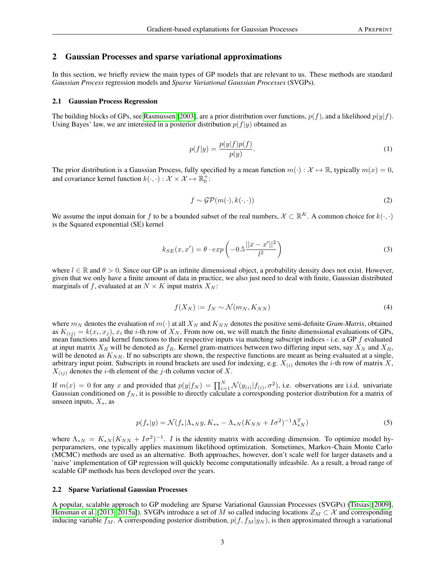#### 2 Gaussian Processes and sparse variational approximations

In this section, we briefly review the main types of GP models that are relevant to us. These methods are standard *Gaussian Process* regression models and *Sparse Variational Gaussian Processes* (SVGPs).

#### 2.1 Gaussian Process Regression

The building blocks of GPs, see [Rasmussen](#page-12-5) [\[2003\]](#page-12-5), are a prior distribution over functions,  $p(f)$ , and a likelihood  $p(y|f)$ . Using Bayes' law, we are interested in a posterior distribution  $p(f|y)$  obtained as

$$
p(f|y) = \frac{p(y|f)p(f)}{p(y)}.\tag{1}
$$

The prior distribution is a Gaussian Process, fully specified by a mean function  $m(\cdot): \mathcal{X} \mapsto \mathbb{R}$ , typically  $m(x) = 0$ , and covariance kernel function  $k(\cdot, \cdot) : \mathcal{X} \times \mathcal{X} \mapsto \mathbb{R}_0^+$ :

$$
f \sim \mathcal{GP}(m(\cdot), k(\cdot, \cdot))\tag{2}
$$

We assume the input domain for f to be a bounded subset of the real numbers,  $X \subset \mathbb{R}^K$ . A common choice for  $k(\cdot, \cdot)$ is the Squared exponential (SE) kernel

$$
k_{SE}(x, x') = \theta \cdot exp\left(-0.5\frac{||x - x'||^2}{l^2}\right)
$$
 (3)

where  $l \in \mathbb{R}$  and  $\theta > 0$ . Since our GP is an infinite dimensional object, a probability density does not exist. However, given that we only have a finite amount of data in practice, we also just need to deal with finite, Gaussian distributed marginals of f, evaluated at an  $N \times K$  input matrix  $X_N$ :

$$
f(X_N) := f_N \sim \mathcal{N}(m_N, K_{NN})
$$
\n(4)

where  $m_N$  denotes the evaluation of  $m(\cdot)$  at all  $X_N$  and  $K_{NN}$  denotes the positive semi-definite *Gram-Matrix*, obtained as  $K_{(ij)} = k(x_i, x_j)$ ,  $x_i$  the *i*-th row of  $X_N$ . From now on, we will match the finite dimensional evaluations of GPs, mean functions and kernel functions to their respective inputs via matching subscript indices - i.e. a GP f evaluated at input matrix  $X_R$  will be denoted as  $f_R$ . Kernel gram-matrices between two differing input sets, say  $X_N$  and  $X_R$ , will be denoted as  $K_{NR}$ . If no subscripts are shown, the respective functions are meant as being evaluated at a single, arbitrary input point. Subscripts in round brackets are used for indexing, e.g.  $X_{(i)}$  denotes the *i*-th row of matrix X,  $X_{(ij)}$  denotes the *i*-th element of the *j*-th column vector of X.

If  $m(x) = 0$  for any x and provided that  $p(y|f_N) = \prod_{i=1}^N \mathcal{N}(y_{(i)}|f_{(i)}, \sigma^2)$ , i.e. observations are i.i.d. univariate Gaussian conditioned on  $f_N$ , it is possible to directly calculate a corresponding posterior distribution for a matrix of unseen inputs,  $X_*,$  as

$$
p(f_*|y) = \mathcal{N}(f_*|\Lambda_{*N}y, K_{**} - \Lambda_{*N}(K_{NN} + I\sigma^2)^{-1}\Lambda_{*N}^T)
$$
\n(5)

where  $\Lambda_{*N} = K_{*N} (K_{NN} + I\sigma^2)^{-1}$ . *I* is the identity matrix with according dimension. To optimize model hyperparameters, one typically applies maximum likelihood optimization. Sometimes, Markov-Chain Monte Carlo (MCMC) methods are used as an alternative. Both approaches, however, don't scale well for larger datasets and a 'naive' implementation of GP regression will quickly become computationally infeasbile. As a result, a broad range of scalable GP methods has been developed over the years.

# 2.2 Sparse Variational Gaussian Processes

A popular, scalable approach to GP modeling are Sparse Variational Gaussian Processes (SVGPs) [\(Titsias](#page-12-6) [\[2009\]](#page-12-6), [Hensman et al.](#page-12-7) [\[2013,](#page-12-7) [2015a\]](#page-12-8)). SVGPs introduce a set of M so called inducing locations  $Z_M \subset \mathcal{X}$  and corresponding inducing variable  $f_M$ . A corresponding posterior distribution,  $p(f, f_M|y_N)$ , is then approximated through a variational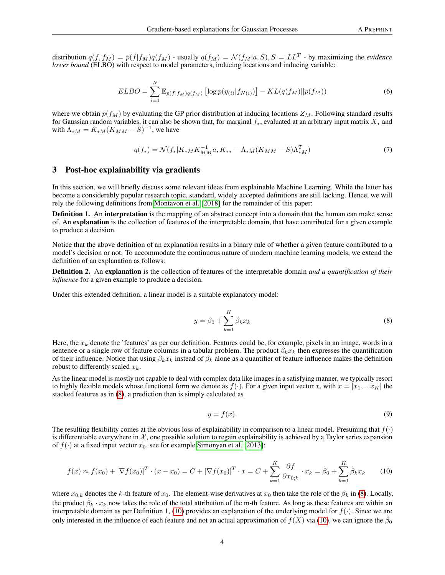<span id="page-3-2"></span>distribution  $q(f, f_M) = p(f|f_M)q(f_M)$  - usually  $q(f_M) = \mathcal{N}(f_M|a, S), S = LL^T$  - by maximizing the *evidence lower bound* (ELBO) with respect to model parameters, inducing locations and inducing variable:

$$
ELBO = \sum_{i=1}^{N} \mathbb{E}_{p(f|f_M)q(f_M)} \left[ \log p(y_{(i)}|f_{N(i)}) \right] - KL(q(f_M)||p(f_M)) \tag{6}
$$

where we obtain  $p(f_M)$  by evaluating the GP prior distribution at inducing locations  $Z_M$ . Following standard results for Gaussian random variables, it can also be shown that, for marginal  $f_*$ , evaluated at an arbitrary input matrix  $X_*$  and with  $\Lambda_{*M} = K_{*M}(K_{MM} - S)^{-1}$ , we have

$$
q(f_*) = \mathcal{N}(f_*|K_{*M}K_{MM}^{-1}a, K_{**} - \Lambda_{*M}(K_{MM} - S)\Lambda_{*M}^T)
$$
\n(7)

# 3 Post-hoc explainability via gradients

In this section, we will briefly discuss some relevant ideas from explainable Machine Learning. While the latter has become a considerably popular research topic, standard, widely accepted definitions are still lacking. Hence, we will rely the following definitions from [Montavon et al.](#page-12-9) [\[2018\]](#page-12-9) for the remainder of this paper:

Definition 1. An interpretation is the mapping of an abstract concept into a domain that the human can make sense of. An explanation is the collection of features of the interpretable domain, that have contributed for a given example to produce a decision.

Notice that the above definition of an explanation results in a binary rule of whether a given feature contributed to a model's decision or not. To accommodate the continuous nature of modern machine learning models, we extend the definition of an explanation as follows:

Definition 2. An explanation is the collection of features of the interpretable domain *and a quantification of their influence* for a given example to produce a decision.

<span id="page-3-0"></span>Under this extended definition, a linear model is a suitable explanatory model:

$$
y = \beta_0 + \sum_{k=1}^{K} \beta_k x_k \tag{8}
$$

Here, the  $x_k$  denote the 'features' as per our definition. Features could be, for example, pixels in an image, words in a sentence or a single row of feature columns in a tabular problem. The product  $\beta_k x_k$  then expresses the quantification of their influence. Notice that using  $\beta_k x_k$  instead of  $\beta_k$  alone as a quantifier of feature influence makes the definition robust to differently scaled  $x_k$ .

As the linear model is mostly not capable to deal with complex data like images in a satisfying manner, we typically resort to highly flexible models whose functional form we denote as  $f(\cdot)$ . For a given input vector x, with  $x = [x_1, ... x_K]$  the stacked features as in [\(8\)](#page-3-0), a prediction then is simply calculated as

$$
y = f(x). \tag{9}
$$

The resulting flexibility comes at the obvious loss of explainability in comparison to a linear model. Presuming that  $f(\cdot)$ is differentiable everywhere in  $X$ , one possible solution to regain explainability is achieved by a Taylor series expansion of  $f(\cdot)$  at a fixed input vector  $x_0$ , see for example [Simonyan et al.](#page-12-10) [\[2013\]](#page-12-10):

<span id="page-3-1"></span>
$$
f(x) \approx f(x_0) + [\nabla f(x_0)]^T \cdot (x - x_0) = C + [\nabla f(x_0)]^T \cdot x = C + \sum_{k=1}^K \frac{\partial f}{\partial x_{0,k}} \cdot x_k = \tilde{\beta}_0 + \sum_{k=1}^K \tilde{\beta}_k x_k
$$
(10)

where  $x_{0:k}$  denotes the k-th feature of  $x_0$ . The element-wise derivatives at  $x_0$  then take the role of the  $\beta_k$  in [\(8\)](#page-3-0). Locally, the product  $\tilde{\beta}_k \cdot x_k$  now takes the role of the total attribution of the m-th feature. As long as these features are within an interpretable domain as per Definition 1, [\(10\)](#page-3-1) provides an explanation of the underlying model for  $f(\cdot)$ . Since we are only interested in the influence of each feature and not an actual approximation of  $f(X)$  via [\(10\)](#page-3-1), we can ignore the  $\tilde{\beta}_0$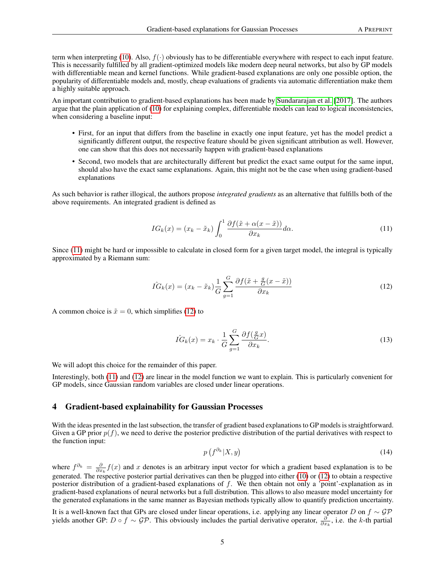term when interpreting [\(10\)](#page-3-1). Also,  $f(\cdot)$  obviously has to be differentiable everywhere with respect to each input feature. This is necessarily fulfilled by all gradient-optimized models like modern deep neural networks, but also by GP models with differentiable mean and kernel functions. While gradient-based explanations are only one possible option, the popularity of differentiable models and, mostly, cheap evaluations of gradients via automatic differentiation make them a highly suitable approach.

An important contribution to gradient-based explanations has been made by [Sundararajan et al.](#page-12-11) [\[2017\]](#page-12-11). The authors argue that the plain application of [\(10\)](#page-3-1) for explaining complex, differentiable models can lead to logical inconsistencies, when considering a baseline input:

- First, for an input that differs from the baseline in exactly one input feature, yet has the model predict a significantly different output, the respective feature should be given significant attribution as well. However, one can show that this does not necessarily happen with gradient-based explanations
- Second, two models that are architecturally different but predict the exact same output for the same input, should also have the exact same explanations. Again, this might not be the case when using gradient-based explanations

<span id="page-4-0"></span>As such behavior is rather illogical, the authors propose *integrated gradients* as an alternative that fulfills both of the above requirements. An integrated gradient is defined as

$$
IG_k(x) = (x_k - \tilde{x}_k) \int_0^1 \frac{\partial f(\tilde{x} + \alpha(x - \tilde{x}))}{\partial x_k} d\alpha.
$$
 (11)

<span id="page-4-1"></span>Since [\(11\)](#page-4-0) might be hard or impossible to calculate in closed form for a given target model, the integral is typically approximated by a Riemann sum:

$$
\hat{IG}_k(x) = (x_k - \tilde{x}_k) \frac{1}{G} \sum_{g=1}^G \frac{\partial f(\tilde{x} + \frac{g}{G}(x - \tilde{x}))}{\partial x_k} \tag{12}
$$

A common choice is  $\tilde{x} = 0$ , which simplifies [\(12\)](#page-4-1) to

$$
\hat{IG}_k(x) = x_k \cdot \frac{1}{G} \sum_{g=1}^G \frac{\partial f(\frac{g}{G}x)}{\partial x_k}.
$$
\n(13)

We will adopt this choice for the remainder of this paper.

Interestingly, both [\(11\)](#page-4-0) and [\(12\)](#page-4-1) are linear in the model function we want to explain. This is particularly convenient for GP models, since Gaussian random variables are closed under linear operations.

# 4 Gradient-based explainability for Gaussian Processes

With the ideas presented in the last subsection, the transfer of gradient based explanations to GP models is straightforward. Given a GP prior  $p(f)$ , we need to derive the posterior predictive distribution of the partial derivatives with respect to the function input:

$$
p\left(f^{\partial_k}|X,y\right) \tag{14}
$$

where  $f^{\partial_k} = \frac{\partial}{\partial x_k} f(x)$  and x denotes is an arbitrary input vector for which a gradient based explanation is to be generated. The respective posterior partial derivatives can then be plugged into either [\(10\)](#page-3-1) or [\(12\)](#page-4-1) to obtain a respective posterior distribution of a gradient-based explanations of f. We then obtain not only a 'point'-explanation as in gradient-based explanations of neural networks but a full distribution. This allows to also measure model uncertainty for the generated explanations in the same manner as Bayesian methods typically allow to quantify prediction uncertainty.

It is a well-known fact that GPs are closed under linear operations, i.e. applying any linear operator D on  $f \sim \mathcal{GP}$ yields another GP:  $D \circ f \sim \mathcal{GP}$ . This obviously includes the partial derivative operator,  $\frac{\partial}{\partial x_k}$ , i.e. the k-th partial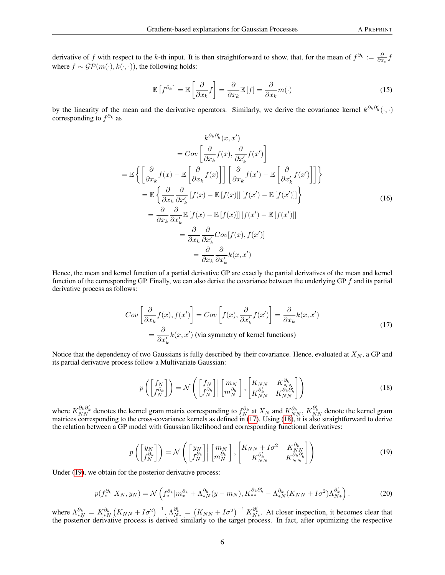derivative of f with respect to the k-th input. It is then straightforward to show, that, for the mean of  $f^{\partial_k} := \frac{\partial}{\partial x_k} f$ where  $f \sim \mathcal{GP}(m(\cdot), k(\cdot, \cdot))$ , the following holds:

$$
\mathbb{E}\left[f^{\partial_k}\right] = \mathbb{E}\left[\frac{\partial}{\partial x_k}f\right] = \frac{\partial}{\partial x_k}\mathbb{E}\left[f\right] = \frac{\partial}{\partial x_k}m(\cdot)
$$
\n(15)

by the linearity of the mean and the derivative operators. Similarly, we derive the covariance kernel  $k^{\partial_k \partial'_k}(\cdot,\cdot)$ corresponding to  $f^{\partial_k}$  as

$$
k^{\partial_k \partial'_k}(x, x')
$$
  
\n
$$
= Cov\left[\frac{\partial}{\partial x_k} f(x), \frac{\partial}{\partial x'_k} f(x')\right]
$$
  
\n
$$
= \mathbb{E}\left\{\left[\frac{\partial}{\partial x_k} f(x) - \mathbb{E}\left[\frac{\partial}{\partial x_k} f(x)\right]\right] \left[\frac{\partial}{\partial x_k} f(x') - \mathbb{E}\left[\frac{\partial}{\partial x'_k} f(x')\right]\right]\right\}
$$
  
\n
$$
= \mathbb{E}\left\{\frac{\partial}{\partial x_k} \frac{\partial}{\partial x'_k} [f(x) - \mathbb{E}[f(x)]] [f(x') - \mathbb{E}[f(x')]]\right\}
$$
  
\n
$$
= \frac{\partial}{\partial x_k} \frac{\partial}{\partial x'_k} \mathbb{E}[f(x) - \mathbb{E}[f(x)]] [f(x') - \mathbb{E}[f(x')]]
$$
  
\n
$$
= \frac{\partial}{\partial x_k} \frac{\partial}{\partial x'_k} Cov[f(x), f(x')]
$$
  
\n
$$
= \frac{\partial}{\partial x_k} \frac{\partial}{\partial x'_k} k(x, x')
$$

Hence, the mean and kernel function of a partial derivative GP are exactly the partial derivatives of the mean and kernel function of the corresponding GP. Finally, we can also derive the covariance between the underlying GP f and its partial derivative process as follows:

$$
Cov\left[\frac{\partial}{\partial x_k}f(x), f(x')\right] = Cov\left[f(x), \frac{\partial}{\partial x'_k}f(x')\right] = \frac{\partial}{\partial x_k}k(x, x')
$$
  
=  $\frac{\partial}{\partial x'_k}k(x, x')$  (via symmetry of kernel functions) (17)

<span id="page-5-1"></span>Notice that the dependency of two Gaussians is fully described by their covariance. Hence, evaluated at  $X_N$ , a GP and its partial derivative process follow a Multivariate Gaussian:

<span id="page-5-0"></span>
$$
p\left(\begin{bmatrix} f_N \\ f_{N}^{\partial_k} \end{bmatrix}\right) = \mathcal{N}\left(\begin{bmatrix} f_N \\ f_{N}^{\partial_k} \end{bmatrix} \begin{bmatrix} m_N \\ m_N^{\partial_k} \end{bmatrix}, \begin{bmatrix} K_{NN} & K_{NN}^{\partial_k} \\ K_{NN}^{\partial'_k} & K_{NN}^{\partial_k \partial'_k} \end{bmatrix}\right)
$$
(18)

<span id="page-5-2"></span>where  $K_{NN}^{\partial_k \partial_k'}$  denotes the kernel gram matrix corresponding to  $f_N^{\partial_k}$  at  $X_N$  and  $K_{NN}^{\partial_k}$ ,  $K_{NN}^{\partial_k'}$  denote the kernel gram matrices corresponding to the cross-covariance kernels as defined in [\(17\)](#page-5-0). Using [\(18\)](#page-5-1), it is also straightforward to derive the relation between a GP model with Gaussian likelihood and corresponding functional derivatives:

$$
p\left(\begin{bmatrix} y_N \\ f_N^{\partial_k} \end{bmatrix}\right) = \mathcal{N}\left(\begin{bmatrix} y_N \\ f_N^{\partial_k} \end{bmatrix} \begin{bmatrix} m_N \\ m_N^{\partial_k} \end{bmatrix}, \begin{bmatrix} K_{NN} + I\sigma^2 & K_{NN}^{\partial_k} \\ K_{NN}^{\partial_k'} & K_{NN}^{\partial_k \partial_k'} \end{bmatrix}\right)
$$
(19)

Under [\(19\)](#page-5-2), we obtain for the posterior derivative process:

$$
p(f_*^{\partial_k}|X_N, y_N) = \mathcal{N}\left(f_*^{\partial_k}|m_*^{\partial_k} + \Lambda_{*N}^{\partial_k}(y - m_N), K_{**}^{\partial_k \partial'_k} - \Lambda_{*N}^{\partial_k}(K_{NN} + I\sigma^2)\Lambda_{N*}^{\partial'_k}\right).
$$
 (20)

where  $\Lambda_{*N}^{\partial_k} = K_{*N}^{\partial_k} (K_{NN} + I\sigma^2)^{-1}, \Lambda_{N*}^{\partial'_k} = (K_{NN} + I\sigma^2)^{-1} K_{N*}^{\partial'_k}$ . At closer inspection, it becomes clear that the posterior derivative process is derived similarly to the target process. In fact, after optimizing the respective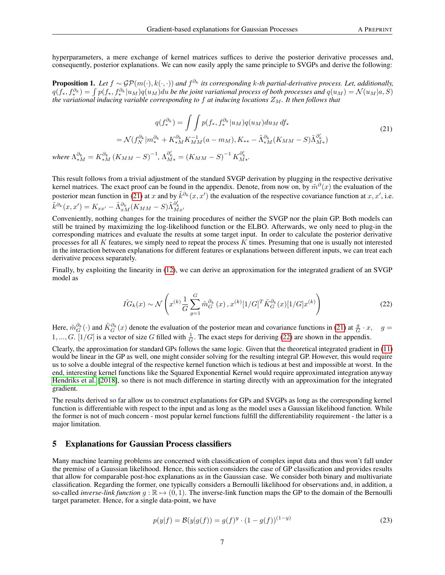hyperparameters, a mere exchange of kernel matrices suffices to derive the posterior derivative processes and, consequently, posterior explanations. We can now easily apply the same principle to SVGPs and derive the following:

Proposition 1. Let  $f \sim \mathcal{GP}(m(\cdot), k(\cdot, \cdot))$  and  $f^{\partial_k}$  its corresponding k-th partial-derivative process. Let, additionally,  $q(f_*,f_*^{\partial_k})=\int p(f_*,f_*^{\partial_k}|u_M)q(u_M)du$  be the joint variational process of both processes and  $q(u_M)=\mathcal{N}(u_M|a,S)$ *the variational inducing variable corresponding to* f at inducing locations  $Z_M$ . It then follows that

<span id="page-6-0"></span>
$$
q(f_{*}^{\partial_{k}}) = \int \int p(f_{*}, f_{*}^{\partial_{k}} | u_{M}) q(u_{M}) du_{M} df_{*}
$$
  
\n
$$
= \mathcal{N}(f_{N}^{\partial_{k}} | m_{*}^{\partial_{k}} + K_{*M}^{\partial_{k}} K_{MM}^{-1}(a - m_{M}), K_{**} - \tilde{\Lambda}_{*M}^{\partial_{k}} (K_{MM} - S) \tilde{\Lambda}_{M*}^{\partial_{k}^{\prime}})
$$
  
\nwhere  $\Lambda_{*M}^{\partial_{k}} = K_{*M}^{\partial_{k}} (K_{MM} - S)^{-1}, \Lambda_{M*}^{\partial_{k}^{\prime}} = (K_{MM} - S)^{-1} K_{M*}^{\partial_{k}^{\prime}}.$  (21)

This result follows from a trivial adjustment of the standard SVGP derivation by plugging in the respective derivative kernel matrices. The exact proof can be found in the appendix. Denote, from now on, by  $\tilde{m}^\partial(x)$  the evaluation of the posterior mean function in [\(21\)](#page-6-0) at x and by  $\tilde{k}^{\partial_k}(x, x')$  the evaluation of the respective covariance function at  $x, x'$ , i.e.  $\tilde{k}^{\partial_k}(x,x') = K_{xx'} - \tilde{\Lambda}^{\partial_k}_{xM}(K_{MM} - S)\tilde{\Lambda}^{\partial_k'}_{Mx'}$ 

Conveniently, nothing changes for the training procedures of neither the SVGP nor the plain GP. Both models can still be trained by maximizing the log-likelihood function or the ELBO. Afterwards, we only need to plug-in the corresponding matrices and evaluate the results at some target input. In order to calculate the posterior derivative processes for all  $K$  features, we simply need to repeat the process  $K$  times. Presuming that one is usually not interested in the interaction between explanations for different features or explanations between different inputs, we can treat each derivative process separately.

<span id="page-6-1"></span>Finally, by exploiting the linearity in [\(12\)](#page-4-1), we can derive an approximation for the integrated gradient of an SVGP model as

$$
\hat{IG}_k(x) \sim \mathcal{N}\left(x^{(k)} \frac{1}{G} \sum_{g=1}^G \tilde{m}_G^{\partial_k}(x), x^{(k)} [1/G]^T \tilde{K}_G^{\partial_k}(x) [1/G] x^{(k)}\right)
$$
\n(22)

Here,  $\tilde{m}_G^{\partial_k}(\cdot)$  and  $\tilde{K}_G^{\partial_k}(x)$  denote the evaluation of the posterior mean and covariance functions in [\(21\)](#page-6-0) at  $\frac{g}{G} \cdot x$ ,  $g =$ 1, ..., G. [1/G] is a vector of size G filled with  $\frac{1}{G}$ . The exact steps for deriving [\(22\)](#page-6-1) are shown in the appendix.

Clearly, the approximation for standard GPs follows the same logic. Given that the theoretical integrated gradient in [\(11\)](#page-4-0) would be linear in the GP as well, one might consider solving for the resulting integral GP. However, this would require us to solve a double integral of the respective kernel function which is tedious at best and impossible at worst. In the end, interesting kernel functions like the Squared Exponential Kernel would require approximated integration anyway [Hendriks et al.](#page-12-12) [\[2018\]](#page-12-12), so there is not much difference in starting directly with an approximation for the integrated gradient.

The results derived so far allow us to construct explanations for GPs and SVGPs as long as the corresponding kernel function is differentiable with respect to the input and as long as the model uses a Gaussian likelihood function. While the former is not of much concern - most popular kernel functions fulfill the differentiability requirement - the latter is a major limitation.

#### 5 Explanations for Gaussian Process classifiers

<span id="page-6-2"></span>Many machine learning problems are concerned with classification of complex input data and thus won't fall under the premise of a Gaussian likelihood. Hence, this section considers the case of GP classification and provides results that allow for comparable post-hoc explanations as in the Gaussian case. We consider both binary and multivariate classification. Regarding the former, one typically considers a Bernoulli likelihood for observations and, in addition, a so-called *inverse-link function*  $g : \mathbb{R} \to (0, 1)$ . The inverse-link function maps the GP to the domain of the Bernoulli target parameter. Hence, for a single data-point, we have

$$
p(y|f) = \mathcal{B}(y|g(f)) = g(f)^y \cdot (1 - g(f))^{(1-y)} \tag{23}
$$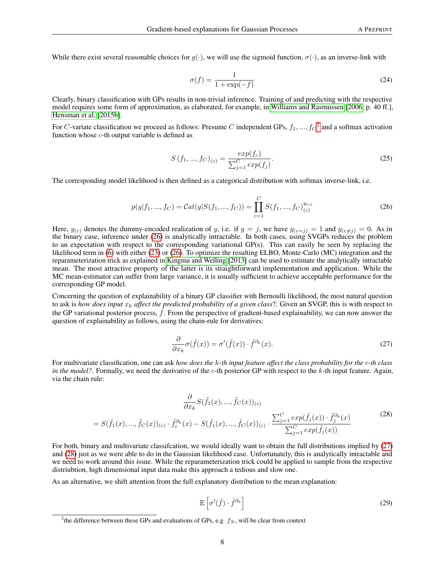While there exist several reasonable choices for  $q(\cdot)$ , we will use the sigmoid function,  $\sigma(\cdot)$ , as an inverse-link with

$$
\sigma(f) = \frac{1}{1 + \exp(-f)}
$$
\n(24)

Clearly, binary classification with GPs results in non-trivial inference. Training of and predicting with the respective model requires some form of approximation, as elaborated, for example, in [Williams and Rasmussen](#page-11-3) [\[2006,](#page-11-3) p. 40 ff.], [Hensman et al.](#page-12-13) [\[2015b\]](#page-12-13).

For C-variate classification we proceed as follows: Presume C independent GPs,  $f_1, ..., f_C^2$  $f_1, ..., f_C^2$  and a softmax activation function whose  $c$ -th output variable is defined as

$$
S\left(f_{1},...,f_{C}\right)_{(c)} = \frac{exp(f_{c})}{\sum_{j=1}^{C} exp(f_{j})}.
$$
\n(25)

<span id="page-7-1"></span>The corresponding model likelihood is then defined as a categorical distribution with softmax inverse-link, i.e.

$$
p(y|f_1, ..., f_C) = Cat(y|S(f_1, ..., f_C)) = \prod_{c=1}^{C} S(f_1, ..., f_C)_{(c)}^{y_{(c)}}
$$
\n(26)

Here,  $y_{(c)}$  denotes the dummy-encoded realization of y, i.e. if  $y = j$ , we have  $y_{(c=j)} = 1$  and  $y_{(c \neq j)} = 0$ . As in the binary case, inference under [\(26\)](#page-7-1) is analytically intractable. In both cases, using SVGPs reduces the problem to an expectation with respect to the corresponding variational GP(s). This can easily be seen by replacing the likelihood term in [\(6\)](#page-3-2) with either [\(23\)](#page-6-2) or [\(26\)](#page-7-1). To optimize the resulting ELBO, Monte-Carlo (MC) integration and the reparameterization trick as explained in [Kingma and Welling](#page-12-14) [\[2013\]](#page-12-14) can be used to estimate the analytically intractable mean. The most attractive property of the latter is its straightforward implementation and application. While the MC mean-estimator can suffer from large variance, it is usually sufficient to achieve acceptable performance for the corresponding GP model.

<span id="page-7-2"></span>Concerning the question of explainability of a binary GP classifier with Bernoulli likelihood, the most natural question to ask is *how does input*  $x_k$  *affect the predicted probability of a given class*?. Given an SVGP, this is with respect to the GP variational posterior process,  $\hat{f}$ . From the perspective of gradient-based explainability, we can now answer the question of explainability as follows, using the chain-rule for derivatives:

$$
\frac{\partial}{\partial x_k} \sigma(\tilde{f}(x)) = \sigma'(\tilde{f}(x)) \cdot \tilde{f}^{\partial_k}(x). \tag{27}
$$

<span id="page-7-3"></span>For multivariate classification, one can ask *how does the* k*-th input feature affect the class probability for the* c*-th class in the model?*. Formally, we need the derivative of the  $c$ -th posterior GP with respect to the  $k$ -th input feature. Again, via the chain rule:

$$
\frac{\partial}{\partial x_k} S(\tilde{f}_1(x), ..., \tilde{f}_C(x))_{(c)}
$$
\n
$$
= S(\tilde{f}_1(x), ..., \tilde{f}_C(x))_{(c)} \cdot \tilde{f}_c^{\partial_k}(x) - S(\tilde{f}_1(x), ..., \tilde{f}_C(x))_{(c)} \cdot \frac{\sum_{j=1}^C exp(\tilde{f}_j(x)) \cdot \tilde{f}_j^{\partial_k}(x)}{\sum_{j=1}^C exp(\tilde{f}_j(x))}
$$
\n(28)

For both, binary and multivariate classifcation, we would ideally want to obtain the full distributions implied by [\(27\)](#page-7-2) and [\(28\)](#page-7-3) just as we were able to do in the Gaussian likelihood case. Unfortunately, this is analytically intractable and we need to work around this issue. While the reparameterization trick could be applied to sample from the respective distriubtion, high dimensional input data make this approach a tedious and slow one.

<span id="page-7-4"></span>As an alternative, we shift attention from the full explanatory distribution to the mean explanation:

$$
\mathbb{E}\left[\sigma'(\tilde{f})\cdot\tilde{f}^{\partial_k}\right]
$$
 (29)

<span id="page-7-0"></span><sup>&</sup>lt;sup>2</sup>the difference between these GPs and evaluations of GPs, e.g.  $f_N$ , will be clear from context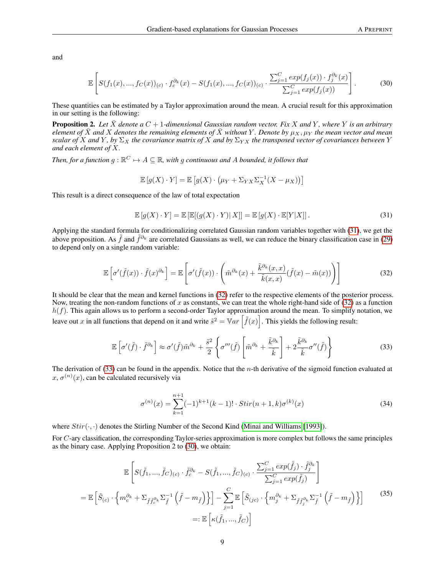<span id="page-8-3"></span>and

$$
\mathbb{E}\left[S(f_1(x),...,f_C(x))_{(c)}\cdot f_c^{\partial_k}(x) - S(f_1(x),...,f_C(x))_{(c)}\cdot \frac{\sum_{j=1}^C exp(f_j(x))\cdot f_j^{\partial_k}(x)}{\sum_{j=1}^C exp(f_j(x))}\right].
$$
 (30)

These quantities can be estimated by a Taylor approximation around the mean. A crucial result for this approximation in our setting is the following:

<span id="page-8-5"></span>**Proposition 2.** Let  $\bar{X}$  denote a  $C + 1$ -dimensional Gaussian random vector. Fix X and Y, where Y is an arbitrary *element of*  $\bar{X}$  *and*  $X$  *denotes the remaining elements of*  $\bar{X}$  *without* Y. Denote by  $\mu_X$ ,  $\mu_Y$  *the mean vector and mean scalar of* X and Y, by  $\Sigma_X$  the covariance matrix of X and by  $\Sigma_{YX}$  the transposed vector of covariances between Y *and each element of* X*.*

Then, for a function  $g : \mathbb{R}^C \mapsto A \subseteq \mathbb{R}$ , with  $g$  continuous and  $A$  bounded, it follows that

$$
\mathbb{E}[g(X) \cdot Y] = \mathbb{E}[g(X) \cdot (\mu_Y + \Sigma_{YX} \Sigma_X^{-1} (X - \mu_X))]
$$

<span id="page-8-0"></span>This result is a direct consequence of the law of total expectation

$$
\mathbb{E}\left[g(X)\cdot Y\right] = \mathbb{E}\left[\mathbb{E}[(g(X)\cdot Y)|X]\right] = \mathbb{E}\left[g(X)\cdot \mathbb{E}[Y|X]\right].\tag{31}
$$

<span id="page-8-1"></span>Applying the standard formula for conditionalizing correlated Gaussian random variables together with [\(31\)](#page-8-0), we get the above proposition. As  $\tilde{f}$  and  $\tilde{f}^{\partial_k}$  are correlated Gaussians as well, we can reduce the binary classification case in [\(29\)](#page-7-4) to depend only on a single random variable:

$$
\mathbb{E}\left[\sigma'(\tilde{f}(x))\cdot\tilde{f}(x)^{\partial_k}\right] = \mathbb{E}\left[\sigma'(\tilde{f}(x))\cdot\left(\tilde{m}^{\partial_k}(x) + \frac{\tilde{k}^{\partial_k}(x,x)}{\tilde{k}(x,x)}(\tilde{f}(x) - \tilde{m}(x))\right)\right]
$$
(32)

It should be clear that the mean and kernel functions in [\(32\)](#page-8-1) refer to the respective elements of the posterior process. Now, treating the non-random functions of x as constants, we can treat the whole right-hand side of  $(32)$  as a function  $h(f)$ . This again allows us to perform a second-order Taylor approximation around the mean. To simplify notation, we leave out x in all functions that depend on it and write  $\tilde{s}^2 = \mathbb{V}ar \left[ \tilde{f}(x) \right]$ . This yields the following result:

$$
\mathbb{E}\left[\sigma'(\tilde{f})\cdot\tilde{f}^{\partial_k}\right] \approx \sigma'(\tilde{f})\tilde{m}^{\partial_k} + \frac{\tilde{s}^2}{2}\left\{\sigma'''(\tilde{f})\left[\tilde{m}^{\partial_k} + \frac{\tilde{k}^{\partial_k}}{\tilde{k}}\right] + 2\frac{\tilde{k}^{\partial_k}}{\tilde{k}}\sigma''(\tilde{f})\right\} \tag{33}
$$

<span id="page-8-2"></span>The derivation of  $(33)$  can be found in the appendix. Notice that the *n*-th derivative of the sigmoid function evaluated at  $x, \sigma^{(n)}(x)$ , can be calculated recursively via

$$
\sigma^{(n)}(x) = \sum_{k=1}^{n+1} (-1)^{k+1} (k-1)! \cdot Stir(n+1,k) \sigma^{(k)}(x)
$$
\n(34)

where  $Stir(\cdot, \cdot)$  denotes the Stirling Number of the Second Kind [\(Minai and Williams](#page-12-15) [\[1993\]](#page-12-15)).

<span id="page-8-4"></span>For C-ary classification, the corresponding Taylor-series approximation is more complex but follows the same principles as the binary case. Applying Proposition 2 to [\(30\)](#page-8-3), we obtain:

$$
\mathbb{E}\left[S(\tilde{f}_1, ..., \tilde{f}_C)_{(c)} \cdot \tilde{f}_c^{\partial_k} - S(\tilde{f}_1, ..., \tilde{f}_C)_{(c)} \cdot \frac{\sum_{j=1}^C exp(\tilde{f}_j) \cdot \tilde{f}_j^{\partial_k}}{\sum_{j=1}^C exp(\tilde{f}_j)}\right]
$$
\n
$$
= \mathbb{E}\left[\tilde{S}_{(c)} \cdot \left\{m_c^{\partial_k} + \sum_{\tilde{f}\tilde{f}_c^{\partial_k}} \sum_{\tilde{f}}^{-1} \left(\tilde{f} - m_{\tilde{f}}\right)\right\}\right] - \sum_{j=1}^C \mathbb{E}\left[\tilde{S}_{(jc)} \cdot \left\{m_j^{\partial_k} + \sum_{\tilde{f}\tilde{f}_j^{\partial_k}} \sum_{\tilde{f}}^{-1} \left(\tilde{f} - m_{\tilde{f}}\right)\right\}\right]
$$
\n
$$
=:\mathbb{E}\left[\kappa(\tilde{f}_1, ..., \tilde{f}_C)\right]
$$
\n(35)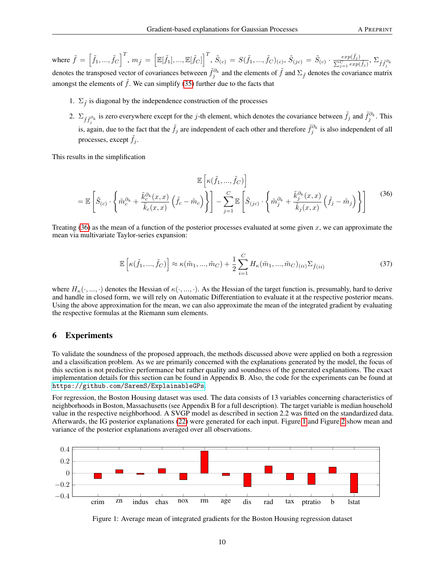where  $\tilde{f} = \left[\tilde{f}_1, ..., \tilde{f}_C\right]^T$ ,  $m_{\tilde{f}} = \left[\mathbb{E}[\tilde{f}_1], ..., \mathbb{E}[\tilde{f}_C]\right]^T$ ,  $\tilde{S}_{(c)} = S(\tilde{f}_1, ..., \tilde{f}_C)_{(c)},$   $\tilde{S}_{(jc)} = \tilde{S}_{(c)} \cdot \frac{exp(\tilde{f}_j)}{\sum_{i=1}^{C} exp(\tilde{f}_i)}$  $\frac{exp\left( f_{j}\right) }{\sum_{j=1}^{C}exp\left( \tilde{f}_{j}\right) },$   $\sum_{\tilde{f}\tilde{f}_{j}^{\partial_{k}}}$ denotes the transposed vector of covariances betweeen  $\tilde{f}^{\partial_k}$  and the elements of  $\tilde{f}$  and  $\Sigma_{\tilde{f}}$  denotes the covariance matrix amongst the elements of  $\tilde{f}$ . We can simplify [\(35\)](#page-8-4) further due to the facts that

- 1.  $\Sigma_{\tilde{t}}$  is diagonal by the independence construction of the processes
- 2.  $\Sigma_{\tilde{f}^{\partial_k}}$  is zero everywhere except for the j-th element, which denotes the covariance between  $\tilde{f}_j$  and  $\tilde{f}^{\partial_k}_j$ . This is, again, due to the fact that the  $\tilde{f}_j$  are independent of each other and therefore  $\tilde{f}_j^{\partial_k}$  is also independent of all processes, except  $f_j$ .

<span id="page-9-0"></span>This results in the simplification

$$
\mathbb{E}\left[\kappa(\tilde{f}_1,...,\tilde{f}_C)\right]
$$

$$
= \mathbb{E}\left[\tilde{S}_{(c)}\cdot\left\{\tilde{m}_c^{\partial_k} + \frac{\tilde{k}_c^{\partial_k}(x,x)}{\tilde{k}_c(x,x)}\left(\tilde{f}_c - \tilde{m}_c\right)\right\}\right] - \sum_{j=1}^C \mathbb{E}\left[\tilde{S}_{(jc)}\cdot\left\{\tilde{m}_j^{\partial_k} + \frac{\tilde{k}_j^{\partial_k}(x,x)}{\tilde{k}_j(x,x)}\left(\tilde{f}_j - \tilde{m}_j\right)\right\}\right]
$$
(36)

<span id="page-9-2"></span>Treating  $(36)$  as the mean of a function of the posterior processes evaluated at some given x, we can approximate the mean via multivariate Taylor-series expansion:

$$
\mathbb{E}\left[\kappa(\tilde{f}_1, ..., \tilde{f}_C)\right] \approx \kappa(\tilde{m}_1, ..., \tilde{m}_C) + \frac{1}{2} \sum_{i=1}^C H_{\kappa}(\tilde{m}_1, ..., \tilde{m}_C)_{(ii)} \Sigma_{\tilde{f}(ii)}
$$
(37)

where  $H_{\kappa}(\cdot, \ldots, \cdot)$  denotes the Hessian of  $\kappa(\cdot, \ldots, \cdot)$ . As the Hessian of the target function is, presumably, hard to derive and handle in closed form, we will rely on Automatic Differentiation to evaluate it at the respective posterior means. Using the above approximation for the mean, we can also approximate the mean of the integrated gradient by evaluating the respective formulas at the Riemann sum elements.

# 6 Experiments

To validate the soundness of the proposed approach, the methods discussed above were applied on both a regression and a classification problem. As we are primarily concerned with the explanations generated by the model, the focus of this section is not predictive performance but rather quality and soundness of the generated explanations. The exact implementation details for this section can be found in Appendix B. Also, the code for the experiments can be found at <https://github.com/SaremS/ExplainableGPs>.

For regression, the Boston Housing dataset was used. The data consists of 13 variables concerning characteristics of neighborhoods in Boston, Massachusetts (see Appendix B for a full description). The target variable is median household value in the respective neighborhood. A SVGP model as described in section 2.2 was fitted on the standardized data. Afterwards, the IG posterior explanations [\(22\)](#page-6-1) were generated for each input. Figure [1](#page-9-1) and Figure [2](#page-10-0) show mean and variance of the posterior explanations averaged over all observations.



<span id="page-9-1"></span>Figure 1: Average mean of integrated gradients for the Boston Housing regression dataset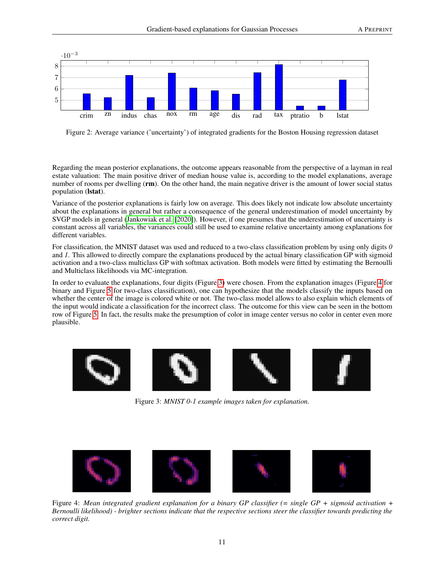

<span id="page-10-0"></span>Figure 2: Average variance ('uncertainty') of integrated gradients for the Boston Housing regression dataset

Regarding the mean posterior explanations, the outcome appears reasonable from the perspective of a layman in real estate valuation: The main positive driver of median house value is, according to the model explanations, average number of rooms per dwelling (rm). On the other hand, the main negative driver is the amount of lower social status population (lstat).

Variance of the posterior explanations is fairly low on average. This does likely not indicate low absolute uncertainty about the explanations in general but rather a consequence of the general underestimation of model uncertainty by SVGP models in general [\(Jankowiak et al.](#page-12-16) [\[2020\]](#page-12-16)). However, if one presumes that the underestimation of uncertainty is constant across all variables, the variances could still be used to examine relative uncertainty among explanations for different variables.

For classification, the MNIST dataset was used and reduced to a two-class classification problem by using only digits *0* and *1*. This allowed to directly compare the explanations produced by the actual binary classification GP with sigmoid activation and a two-class multiclass GP with softmax activation. Both models were fitted by estimating the Bernoulli and Multiclass likelihoods via MC-integration.

In order to evaluate the explanations, four digits (Figure [3\)](#page-10-1) were chosen. From the explanation images (Figure [4](#page-10-2) for binary and Figure [5](#page-11-5) for two-class classification), one can hypothesize that the models classify the inputs based on whether the center of the image is colored white or not. The two-class model allows to also explain which elements of the input would indicate a classification for the incorrect class. The outcome for this view can be seen in the bottom row of Figure [5.](#page-11-5) In fact, the results make the presumption of color in image center versus no color in center even more plausible.

<span id="page-10-1"></span>

Figure 3: *MNIST 0-1 example images taken for explanation.*



<span id="page-10-2"></span>Figure 4: *Mean integrated gradient explanation for a binary GP classifier (= single GP + sigmoid activation + Bernoulli likelihood) - brighter sections indicate that the respective sections steer the classifier towards predicting the correct digit.*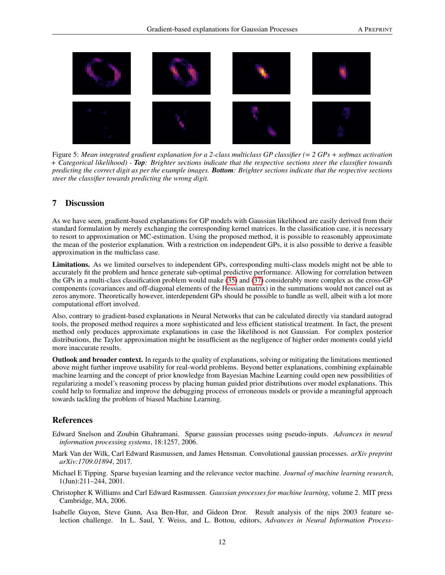

Figure 5: *Mean integrated gradient explanation for a 2-class multiclass GP classifier (= 2 GPs + softmax activation + Categorical likelihood) - Top: Brighter sections indicate that the respective sections steer the classifier towards predicting the correct digit as per the example images. Bottom: Brighter sections indicate that the respective sections steer the classifier towards predicting the wrong digit.*

# <span id="page-11-5"></span>7 Discussion

As we have seen, gradient-based explanations for GP models with Gaussian likelihood are easily derived from their standard formulation by merely exchanging the corresponding kernel matrices. In the classification case, it is necessary to resort to approximation or MC-estimation. Using the proposed method, it is possible to reasonably approximate the mean of the posterior explanation. With a restriction on independent GPs, it is also possible to derive a feasible approximation in the multiclass case.

Limitations. As we limited ourselves to independent GPs, corresponding multi-class models might not be able to accurately fit the problem and hence generate sub-optimal predictive performance. Allowing for correlation between the GPs in a multi-class classification problem would make [\(35\)](#page-8-4) and [\(37\)](#page-9-2) considerably more complex as the cross-GP components (covariances and off-diagonal elements of the Hessian matrix) in the summations would not cancel out as zeros anymore. Theoretically however, interdependent GPs should be possible to handle as well, albeit with a lot more computational effort involved.

Also, contrary to gradient-based explanations in Neural Networks that can be calculated directly via standard autograd tools, the proposed method requires a more sophisticated and less efficient statistical treatment. In fact, the present method only produces approximate explanations in case the likelihood is not Gaussian. For complex posterior distributions, the Taylor approximation might be insufficient as the negligence of higher order moments could yield more inaccurate results.

Outlook and broader context. In regards to the quality of explanations, solving or mitigating the limitations mentioned above might further improve usability for real-world problems. Beyond better explanations, combining explainable machine learning and the concept of prior knowledge from Bayesian Machine Learning could open new possibilities of regularizing a model's reasoning process by placing human guided prior distributions over model explanations. This could help to formalize and improve the debugging process of erroneous models or provide a meaningful approach towards tackling the problem of biased Machine Learning.

# References

- <span id="page-11-0"></span>Edward Snelson and Zoubin Ghahramani. Sparse gaussian processes using pseudo-inputs. *Advances in neural information processing systems*, 18:1257, 2006.
- <span id="page-11-1"></span>Mark Van der Wilk, Carl Edward Rasmussen, and James Hensman. Convolutional gaussian processes. *arXiv preprint arXiv:1709.01894*, 2017.
- <span id="page-11-2"></span>Michael E Tipping. Sparse bayesian learning and the relevance vector machine. *Journal of machine learning research*, 1(Jun):211–244, 2001.
- <span id="page-11-3"></span>Christopher K Williams and Carl Edward Rasmussen. *Gaussian processes for machine learning*, volume 2. MIT press Cambridge, MA, 2006.
- <span id="page-11-4"></span>Isabelle Guyon, Steve Gunn, Asa Ben-Hur, and Gideon Dror. Result analysis of the nips 2003 feature selection challenge. In L. Saul, Y. Weiss, and L. Bottou, editors, *Advances in Neural Information Process-*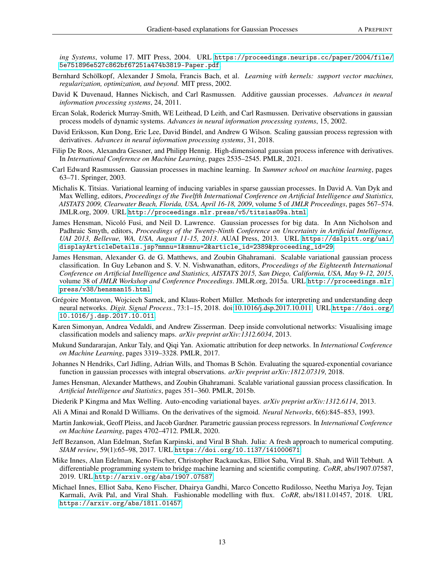*ing Systems*, volume 17. MIT Press, 2004. URL [https://proceedings.neurips.cc/paper/2004/file/](https://proceedings.neurips.cc/paper/2004/file/5e751896e527c862bf67251a474b3819-Paper.pdf) [5e751896e527c862bf67251a474b3819-Paper.pdf](https://proceedings.neurips.cc/paper/2004/file/5e751896e527c862bf67251a474b3819-Paper.pdf).

- <span id="page-12-0"></span>Bernhard Schölkopf, Alexander J Smola, Francis Bach, et al. *Learning with kernels: support vector machines, regularization, optimization, and beyond*. MIT press, 2002.
- <span id="page-12-1"></span>David K Duvenaud, Hannes Nickisch, and Carl Rasmussen. Additive gaussian processes. *Advances in neural information processing systems*, 24, 2011.
- <span id="page-12-2"></span>Ercan Solak, Roderick Murray-Smith, WE Leithead, D Leith, and Carl Rasmussen. Derivative observations in gaussian process models of dynamic systems. *Advances in neural information processing systems*, 15, 2002.
- <span id="page-12-3"></span>David Eriksson, Kun Dong, Eric Lee, David Bindel, and Andrew G Wilson. Scaling gaussian process regression with derivatives. *Advances in neural information processing systems*, 31, 2018.
- <span id="page-12-4"></span>Filip De Roos, Alexandra Gessner, and Philipp Hennig. High-dimensional gaussian process inference with derivatives. In *International Conference on Machine Learning*, pages 2535–2545. PMLR, 2021.
- <span id="page-12-5"></span>Carl Edward Rasmussen. Gaussian processes in machine learning. In *Summer school on machine learning*, pages 63–71. Springer, 2003.
- <span id="page-12-6"></span>Michalis K. Titsias. Variational learning of inducing variables in sparse gaussian processes. In David A. Van Dyk and Max Welling, editors, *Proceedings of the Twelfth International Conference on Artificial Intelligence and Statistics, AISTATS 2009, Clearwater Beach, Florida, USA, April 16-18, 2009*, volume 5 of *JMLR Proceedings*, pages 567–574. JMLR.org, 2009. URL <http://proceedings.mlr.press/v5/titsias09a.html>.
- <span id="page-12-7"></span>James Hensman, Nicoló Fusi, and Neil D. Lawrence. Gaussian processes for big data. In Ann Nicholson and Padhraic Smyth, editors, *Proceedings of the Twenty-Ninth Conference on Uncertainty in Artificial Intelligence, UAI 2013, Bellevue, WA, USA, August 11-15, 2013*. AUAI Press, 2013. URL [https://dslpitt.org/uai/](https://dslpitt.org/uai/displayArticleDetails.jsp?mmnu=1&smnu=2&article_id=2389&proceeding_id=29) [displayArticleDetails.jsp?mmnu=1&smnu=2&article\\_id=2389&proceeding\\_id=29](https://dslpitt.org/uai/displayArticleDetails.jsp?mmnu=1&smnu=2&article_id=2389&proceeding_id=29).
- <span id="page-12-8"></span>James Hensman, Alexander G. de G. Matthews, and Zoubin Ghahramani. Scalable variational gaussian process classification. In Guy Lebanon and S. V. N. Vishwanathan, editors, *Proceedings of the Eighteenth International Conference on Artificial Intelligence and Statistics, AISTATS 2015, San Diego, California, USA, May 9-12, 2015*, volume 38 of *JMLR Workshop and Conference Proceedings*. JMLR.org, 2015a. URL [http://proceedings.mlr.](http://proceedings.mlr.press/v38/hensman15.html) [press/v38/hensman15.html](http://proceedings.mlr.press/v38/hensman15.html).
- <span id="page-12-9"></span>Grégoire Montavon, Wojciech Samek, and Klaus-Robert Müller. Methods for interpreting and understanding deep neural networks. *Digit. Signal Process.*, 73:1–15, 2018. doi[:10.1016/j.dsp.2017.10.011.](https://doi.org/10.1016/j.dsp.2017.10.011) URL [https://doi.org/](https://doi.org/10.1016/j.dsp.2017.10.011) [10.1016/j.dsp.2017.10.011](https://doi.org/10.1016/j.dsp.2017.10.011).
- <span id="page-12-10"></span>Karen Simonyan, Andrea Vedaldi, and Andrew Zisserman. Deep inside convolutional networks: Visualising image classification models and saliency maps. *arXiv preprint arXiv:1312.6034*, 2013.
- <span id="page-12-11"></span>Mukund Sundararajan, Ankur Taly, and Qiqi Yan. Axiomatic attribution for deep networks. In *International Conference on Machine Learning*, pages 3319–3328. PMLR, 2017.
- <span id="page-12-12"></span>Johannes N Hendriks, Carl Jidling, Adrian Wills, and Thomas B Schön. Evaluating the squared-exponential covariance function in gaussian processes with integral observations. *arXiv preprint arXiv:1812.07319*, 2018.
- <span id="page-12-13"></span>James Hensman, Alexander Matthews, and Zoubin Ghahramani. Scalable variational gaussian process classification. In *Artificial Intelligence and Statistics*, pages 351–360. PMLR, 2015b.
- <span id="page-12-14"></span>Diederik P Kingma and Max Welling. Auto-encoding variational bayes. *arXiv preprint arXiv:1312.6114*, 2013.
- <span id="page-12-15"></span>Ali A Minai and Ronald D Williams. On the derivatives of the sigmoid. *Neural Networks*, 6(6):845–853, 1993.
- <span id="page-12-16"></span>Martin Jankowiak, Geoff Pleiss, and Jacob Gardner. Parametric gaussian process regressors. In *International Conference on Machine Learning*, pages 4702–4712. PMLR, 2020.
- <span id="page-12-17"></span>Jeff Bezanson, Alan Edelman, Stefan Karpinski, and Viral B Shah. Julia: A fresh approach to numerical computing. *SIAM review*, 59(1):65–98, 2017. URL <https://doi.org/10.1137/141000671>.
- <span id="page-12-18"></span>Mike Innes, Alan Edelman, Keno Fischer, Christopher Rackauckas, Elliot Saba, Viral B. Shah, and Will Tebbutt. A differentiable programming system to bridge machine learning and scientific computing. *CoRR*, abs/1907.07587, 2019. URL <http://arxiv.org/abs/1907.07587>.
- <span id="page-12-19"></span>Michael Innes, Elliot Saba, Keno Fischer, Dhairya Gandhi, Marco Concetto Rudilosso, Neethu Mariya Joy, Tejan Karmali, Avik Pal, and Viral Shah. Fashionable modelling with flux. *CoRR*, abs/1811.01457, 2018. URL <https://arxiv.org/abs/1811.01457>.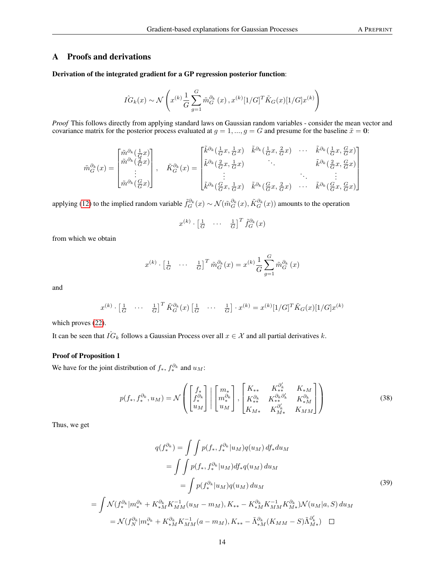# A Proofs and derivations

Derivation of the integrated gradient for a GP regression posterior function:

$$
\hat{IG}_k(x) \sim \mathcal{N}\left(x^{(k)} \frac{1}{G} \sum_{g=1}^G \tilde{m}_G^{\partial_k}(x), x^{(k)} [1/G]^T \tilde{K}_G(x) [1/G] x^{(k)}\right)
$$

*Proof* This follows directly from applying standard laws on Gaussian random variables - consider the mean vector and covariance matrix for the posterior process evaluated at  $g = 1, ..., g = G$  and presume for the baseline  $\tilde{x} = 0$ :

$$
\tilde{m}_{G}^{\partial_{k}}(x) = \begin{bmatrix} \tilde{m}^{\partial_{k}}(\frac{1}{G}x) \\ \tilde{m}^{\partial_{k}}(\frac{2}{G}x) \\ \vdots \\ \tilde{m}^{\partial_{k}}(\frac{G}{G}x) \end{bmatrix}, \quad \tilde{K}_{G}^{\partial_{k}}(x) = \begin{bmatrix} \tilde{k}^{\partial_{k}}(\frac{1}{G}x, \frac{1}{G}x) & \tilde{k}^{\partial_{k}}(\frac{1}{G}x, \frac{2}{G}x) & \cdots & \tilde{k}^{\partial_{k}}(\frac{1}{G}x, \frac{G}{G}x) \\ \tilde{k}^{\partial_{k}}(\frac{2}{G}x, \frac{1}{G}x) & \ddots & \ddots & \vdots \\ \tilde{k}^{\partial_{k}}(\frac{G}{G}x, \frac{1}{G}x) & \tilde{k}^{\partial_{k}}(\frac{G}{G}x, \frac{2}{G}x) & \cdots & \tilde{k}^{\partial_{k}}(\frac{G}{G}x, \frac{G}{G}x) \end{bmatrix}
$$

applying [\(12\)](#page-4-1) to the implied random variable  $\tilde{f}_G^{\partial_k}(x) \sim \mathcal{N}(\tilde{m}_G^{\partial_k}(x), \tilde{K}_G^{\partial_k}(x))$  amounts to the operation

$$
x^{(k)} \cdot \begin{bmatrix} \frac{1}{G} & \cdots & \frac{1}{G} \end{bmatrix}^T \tilde{f}_G^{\partial_k}(x)
$$

from which we obtain

$$
x^{(k)} \cdot \begin{bmatrix} \frac{1}{G} & \cdots & \frac{1}{G} \end{bmatrix}^T \tilde{m}_G^{\partial_k}(x) = x^{(k)} \frac{1}{G} \sum_{g=1}^G \tilde{m}_G^{\partial_k}(x)
$$

and

$$
x^{(k)} \cdot \begin{bmatrix} \frac{1}{G} & \cdots & \frac{1}{G} \end{bmatrix}^T \tilde{K}_G^{\partial_k}(x) \begin{bmatrix} \frac{1}{G} & \cdots & \frac{1}{G} \end{bmatrix} \cdot x^{(k)} = x^{(k)} [1/G]^T \tilde{K}_G(x) [1/G] x^{(k)}
$$

which proves [\(22\)](#page-6-1).

It can be seen that  $\hat{IG}_k$  follows a Gaussian Process over all  $x \in \mathcal{X}$  and all partial derivatives k.

### Proof of Proposition 1

We have for the joint distribution of  $f_*, f_*^{\partial_k}$  and  $u_M$ :

$$
p(f_*, f_*^{\partial_k}, u_M) = \mathcal{N}\left( \begin{bmatrix} f_* \\ f_*^{\partial_k} \\ u_M \end{bmatrix} \middle| \begin{bmatrix} m_* \\ m_*^{\partial_k} \\ u_M \end{bmatrix}, \begin{bmatrix} K_{**} & K_{**}^{\partial'_k} & K_{*M} \\ K_{**}^{\partial_k} & K_{**}^{\partial_k} & K_{*M}^{\partial_k} \\ K_{M*} & K_{M*}^{\partial'_k} & K_{MM} \end{bmatrix} \right)
$$
(38)

Thus, we get

$$
q(f_{*}^{\partial_{k}}) = \int \int p(f_{*}, f_{*}^{\partial_{k}} | u_{M}) q(u_{M}) df_{*} du_{M}
$$
  
\n
$$
= \int \int p(f_{*}, f_{*}^{\partial_{k}} | u_{M}) df_{*} q(u_{M}) du_{M}
$$
  
\n
$$
= \int p(f_{*}^{\partial_{k}} | u_{M}) q(u_{M}) du_{M}
$$
  
\n
$$
= \int \mathcal{N}(f_{*}^{\partial_{k}} | m_{*}^{\partial_{k}} + K_{*M}^{\partial_{k}} K_{MM}^{-1}(u_{M} - m_{M}), K_{**} - K_{*M}^{\partial_{k}} K_{MM}^{-1} K_{M*}^{\partial_{k}}) \mathcal{N}(u_{M}|a, S) du_{M}
$$
  
\n
$$
= \mathcal{N}(f_{N}^{\partial_{k}} | m_{*}^{\partial_{k}} + K_{*M}^{\partial_{k}} K_{MM}^{-1}(a - m_{M}), K_{**} - \tilde{\Lambda}_{*M}^{\partial_{k}} (K_{MM} - S) \tilde{\Lambda}_{M*}^{\partial_{k}}) \quad \Box
$$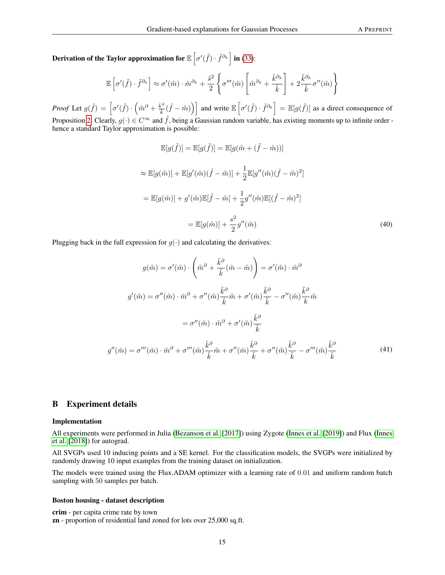Derivation of the Taylor approximation for  $\mathbb{E}\left[\sigma'(\tilde{f})\cdot \tilde{f}^{\partial_k}\right]$  in [\(33\)](#page-8-2):

$$
\mathbb{E}\left[\sigma'(\tilde{f})\cdot\tilde{f}^{\partial_k}\right] \approx \sigma'(\tilde{m})\cdot\tilde{m}^{\partial_k} + \frac{\tilde{s}^2}{2}\left\{\sigma'''(\tilde{m})\left[\tilde{m}^{\partial_k} + \frac{\tilde{k}^{\partial_k}}{\tilde{k}}\right] + 2\frac{\tilde{k}^{\partial_k}}{\tilde{k}}\sigma''(\tilde{m})\right\}
$$

*Proof* Let  $g(\tilde{f}) = \left[ \sigma'(\tilde{f}) \cdot \left( \tilde{m}^{\partial} + \frac{\tilde{k}^{\partial}}{\tilde{k}} \right) \right]$  $\left[\tilde{k}^{\partial}(\tilde{f}-\tilde{m})\right]\right]$  and write  $\mathbb{E}\left[\sigma'(\tilde{f})\cdot\tilde{f}^{\partial_k}\right]=\mathbb{E}[g(\tilde{f})]$  as a direct consequence of Proposition [2.](#page-8-5) Clearly,  $g(\cdot) \in C^{\infty}$  and  $\tilde{f}$ , being a Gaussian random variable, has existing moments up to infinite order hence a standard Taylor approximation is possible:

$$
\mathbb{E}[g(\tilde{f})] = \mathbb{E}[g(\tilde{m})] = \mathbb{E}[g(\tilde{m} + (\tilde{f} - \tilde{m}))]
$$
  
\n
$$
\approx \mathbb{E}[g(\tilde{m})] + \mathbb{E}[g'(\tilde{m})(\tilde{f} - \tilde{m})] + \frac{1}{2}\mathbb{E}[g''(\tilde{m})(\tilde{f} - \tilde{m})^2]
$$
  
\n
$$
= \mathbb{E}[g(\tilde{m})] + g'(\tilde{m})\mathbb{E}[\tilde{f} - \tilde{m}] + \frac{1}{2}g''(\tilde{m})\mathbb{E}[(\tilde{f} - \tilde{m})^2]
$$
  
\n
$$
= \mathbb{E}[g(\tilde{m})] + \frac{s^2}{2}g''(\tilde{m})
$$
\n(40)

Plugging back in the full expression for  $g(\cdot)$  and calculating the derivatives:

$$
g(\tilde{m}) = \sigma'(\tilde{m}) \cdot \left(\tilde{m}^{\partial} + \frac{\tilde{k}^{\partial}}{\tilde{k}} (\tilde{m} - \tilde{m})\right) = \sigma'(\tilde{m}) \cdot \tilde{m}^{\partial}
$$

$$
g'(\tilde{m}) = \sigma''(\tilde{m}) \cdot \tilde{m}^{\partial} + \sigma''(\tilde{m}) \frac{\tilde{k}^{\partial}}{\tilde{k}} \tilde{m} + \sigma'(\tilde{m}) \frac{\tilde{k}^{\partial}}{\tilde{k}} - \sigma''(\tilde{m}) \frac{\tilde{k}^{\partial}}{k} \tilde{m}
$$

$$
= \sigma''(\tilde{m}) \cdot \tilde{m}^{\partial} + \sigma'(\tilde{m}) \frac{\tilde{k}^{\partial}}{\tilde{k}}
$$

$$
g''(\tilde{m}) = \sigma'''(\tilde{m}) \cdot \tilde{m}^{\partial} + \sigma'''(\tilde{m}) \frac{\tilde{k}^{\partial}}{\tilde{k}} \tilde{m} + \sigma''(\tilde{m}) \frac{\tilde{k}^{\partial}}{\tilde{k}} + \sigma''(\tilde{m}) \frac{\tilde{k}^{\partial}}{\tilde{k}} - \sigma'''(\tilde{m}) \frac{\tilde{k}^{\partial}}{\tilde{k}}
$$
(41)

# B Experiment details

#### Implementation

All experiments were performed in Julia [\(Bezanson et al.](#page-12-17) [\[2017\]](#page-12-17)) using Zygote [\(Innes et al.](#page-12-18) [\[2019\]](#page-12-18)) and Flux [\(Innes](#page-12-19) [et al.](#page-12-19) [\[2018\]](#page-12-19)) for autograd.

All SVGPs used 10 inducing points and a SE kernel. For the classification models, the SVGPs were initialized by randomly drawing 10 input examples from the training dataset on initialization.

The models were trained using the Flux.ADAM optimizer with a learning rate of 0.01 and uniform random batch sampling with 50 samples per batch.

#### Boston housing - dataset description

crim - per capita crime rate by town zn - proportion of residential land zoned for lots over 25,000 sq.ft.